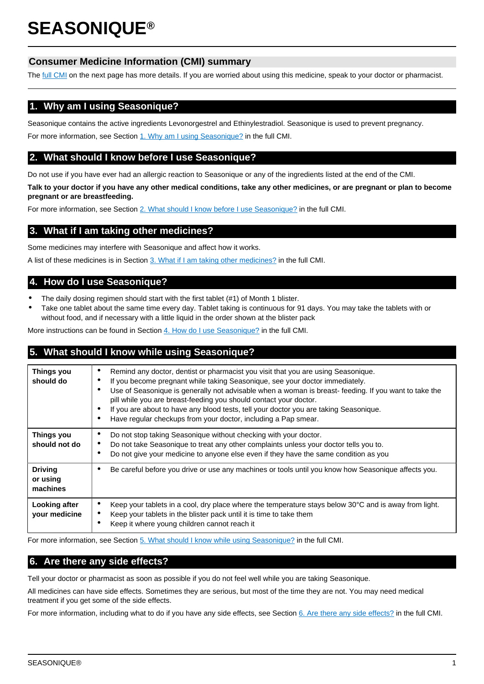# **SEASONIQUE®**

# **Consumer Medicine Information (CMI) summary**

The [full CMI](#page-1-0) on the next page has more details. If you are worried about using this medicine, speak to your doctor or pharmacist.

# **1. Why am I using Seasonique?**

Seasonique contains the active ingredients Levonorgestrel and Ethinylestradiol. Seasonique is used to prevent pregnancy.

For more information, see Section [1. Why am I using Seasonique?](#page-1-1) in the full CMI.

# **2. What should I know before I use Seasonique?**

Do not use if you have ever had an allergic reaction to Seasonique or any of the ingredients listed at the end of the CMI.

**Talk to your doctor if you have any other medical conditions, take any other medicines, or are pregnant or plan to become pregnant or are breastfeeding.**

For more information, see Section [2. What should I know before I use Seasonique?](#page-1-2) in the full CMI.

# **3. What if I am taking other medicines?**

Some medicines may interfere with Seasonique and affect how it works.

A list of these medicines is in Section [3. What if I am taking other medicines?](#page-3-0) in the full CMI.

# **4. How do I use Seasonique?**

- The daily dosing regimen should start with the first tablet (#1) of Month 1 blister.
- Take one tablet about the same time every day. Tablet taking is continuous for 91 days. You may take the tablets with or without food, and if necessary with a little liquid in the order shown at the blister pack

More instructions can be found in Section [4. How do I use Seasonique?](#page-4-0) in the full CMI.

# **5. What should I know while using Seasonique?**

| <b>Things you</b><br>should do         | Remind any doctor, dentist or pharmacist you visit that you are using Seasonique.<br>٠<br>If you become pregnant while taking Seasonique, see your doctor immediately.<br>٠<br>Use of Seasonique is generally not advisable when a woman is breast-feeding. If you want to take the<br>٠<br>pill while you are breast-feeding you should contact your doctor.<br>If you are about to have any blood tests, tell your doctor you are taking Seasonique.<br>$\bullet$<br>Have regular checkups from your doctor, including a Pap smear.<br>$\bullet$ |
|----------------------------------------|----------------------------------------------------------------------------------------------------------------------------------------------------------------------------------------------------------------------------------------------------------------------------------------------------------------------------------------------------------------------------------------------------------------------------------------------------------------------------------------------------------------------------------------------------|
| <b>Things you</b><br>should not do     | Do not stop taking Seasonique without checking with your doctor.<br>٠<br>Do not take Seasonique to treat any other complaints unless your doctor tells you to.<br>٠<br>Do not give your medicine to anyone else even if they have the same condition as you<br>$\bullet$                                                                                                                                                                                                                                                                           |
| <b>Driving</b><br>or using<br>machines | Be careful before you drive or use any machines or tools until you know how Seasonique affects you.<br>٠                                                                                                                                                                                                                                                                                                                                                                                                                                           |
| Looking after<br>your medicine         | Keep your tablets in a cool, dry place where the temperature stays below $30^{\circ}$ C and is away from light.<br>Keep your tablets in the blister pack until it is time to take them<br>Keep it where young children cannot reach it<br>٠                                                                                                                                                                                                                                                                                                        |

For more information, see Section [5. What should I know while using Seasonique?](#page-5-0) in the full CMI.

# **6. Are there any side effects?**

Tell your doctor or pharmacist as soon as possible if you do not feel well while you are taking Seasonique.

All medicines can have side effects. Sometimes they are serious, but most of the time they are not. You may need medical treatment if you get some of the side effects.

For more information, including what to do if you have any side effects, see Section [6. Are there any side effects?](#page-6-0) in the full CMI.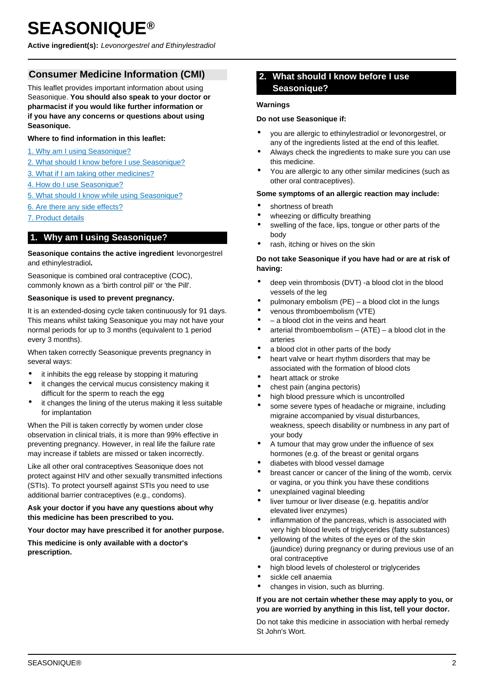# <span id="page-1-0"></span>**SEASONIQUE®**

**Active ingredient(s):** Levonorgestrel and Ethinylestradiol

# **Consumer Medicine Information (CMI)**

This leaflet provides important information about using Seasonique. **You should also speak to your doctor or pharmacist if you would like further information or if you have any concerns or questions about using Seasonique.**

#### **Where to find information in this leaflet:**

- [1. Why am I using Seasonique?](#page-1-1)
- [2. What should I know before I use Seasonique?](#page-1-2)
- [3. What if I am taking other medicines?](#page-3-0)
- [4. How do I use Seasonique?](#page-4-0)
- [5. What should I know while using Seasonique?](#page-5-0)
- [6. Are there any side effects?](#page-6-0)
- [7. Product details](#page-8-0)

# <span id="page-1-1"></span>**1. Why am I using Seasonique?**

#### **Seasonique contains the active ingredient** levonorgestrel and ethinylestradiol**.**

Seasonique is combined oral contraceptive (COC), commonly known as a 'birth control pill' or 'the Pill'.

#### **Seasonique is used to prevent pregnancy.**

It is an extended-dosing cycle taken continuously for 91 days. This means whilst taking Seasonique you may not have your normal periods for up to 3 months (equivalent to 1 period every 3 months).

When taken correctly Seasonique prevents pregnancy in several ways:

- it inhibits the egg release by stopping it maturing
- it changes the cervical mucus consistency making it difficult for the sperm to reach the egg
- it changes the lining of the uterus making it less suitable for implantation

When the Pill is taken correctly by women under close observation in clinical trials, it is more than 99% effective in preventing pregnancy. However, in real life the failure rate may increase if tablets are missed or taken incorrectly.

Like all other oral contraceptives Seasonique does not protect against HIV and other sexually transmitted infections (STIs). To protect yourself against STIs you need to use additional barrier contraceptives (e.g., condoms).

#### **Ask your doctor if you have any questions about why this medicine has been prescribed to you.**

#### **Your doctor may have prescribed it for another purpose.**

<span id="page-1-2"></span>**This medicine is only available with a doctor's prescription.**

# **2. What should I know before I use Seasonique?**

#### **Warnings**

#### **Do not use Seasonique if:**

- you are allergic to ethinylestradiol or levonorgestrel, or any of the ingredients listed at the end of this leaflet.
- Always check the ingredients to make sure you can use this medicine.
- You are allergic to any other similar medicines (such as other oral contraceptives).

#### **Some symptoms of an allergic reaction may include:**

- shortness of breath
- wheezing or difficulty breathing
- swelling of the face, lips, tongue or other parts of the body
- rash, itching or hives on the skin

#### **Do not take Seasonique if you have had or are at risk of having:**

- deep vein thrombosis (DVT) -a blood clot in the blood vessels of the leg
- pulmonary embolism (PE) a blood clot in the lungs
- venous thromboembolism (VTE)
- – a blood clot in the veins and heart
- arterial thromboembolism  $-$  (ATE)  $-$  a blood clot in the arteries
- a blood clot in other parts of the body
- heart valve or heart rhythm disorders that may be associated with the formation of blood clots
- heart attack or stroke
- chest pain (angina pectoris)
- high blood pressure which is uncontrolled
- some severe types of headache or migraine, including migraine accompanied by visual disturbances, weakness, speech disability or numbness in any part of your body
- A tumour that may grow under the influence of sex hormones (e.g. of the breast or genital organs
- diabetes with blood vessel damage
- breast cancer or cancer of the lining of the womb, cervix or vagina, or you think you have these conditions
- unexplained vaginal bleeding
- liver tumour or liver disease (e.g. hepatitis and/or elevated liver enzymes)
- inflammation of the pancreas, which is associated with very high blood levels of triglycerides (fatty substances)
- yellowing of the whites of the eyes or of the skin (jaundice) during pregnancy or during previous use of an oral contraceptive
- high blood levels of cholesterol or triglycerides
- sickle cell anaemia
- changes in vision, such as blurring.

#### **If you are not certain whether these may apply to you, or you are worried by anything in this list, tell your doctor.**

Do not take this medicine in association with herbal remedy St John's Wort.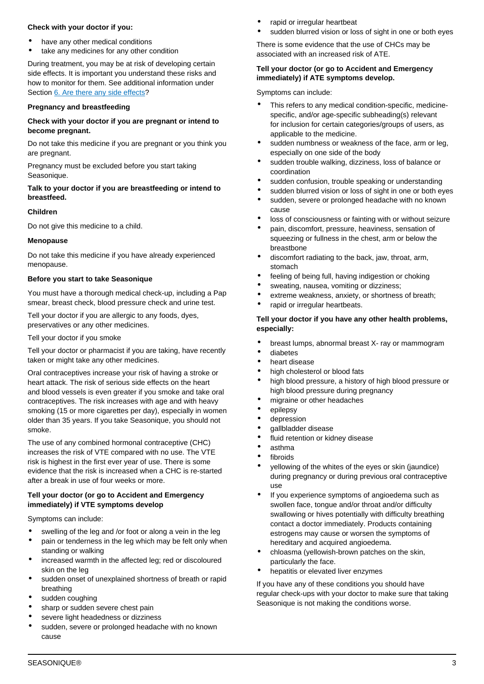#### **Check with your doctor if you:**

- have any other medical conditions
- take any medicines for any other condition

During treatment, you may be at risk of developing certain side effects. It is important you understand these risks and how to monitor for them. See additional information under Section [6. Are there any side effects?](#page-6-0)

# **Pregnancy and breastfeeding**

## **Check with your doctor if you are pregnant or intend to become pregnant.**

Do not take this medicine if you are pregnant or you think you are pregnant.

Pregnancy must be excluded before you start taking Seasonique.

## **Talk to your doctor if you are breastfeeding or intend to breastfeed.**

## **Children**

Do not give this medicine to a child.

# **Menopause**

Do not take this medicine if you have already experienced menopause.

# **Before you start to take Seasonique**

You must have a thorough medical check-up, including a Pap smear, breast check, blood pressure check and urine test.

Tell your doctor if you are allergic to any foods, dyes, preservatives or any other medicines.

Tell your doctor if you smoke

Tell your doctor or pharmacist if you are taking, have recently taken or might take any other medicines.

Oral contraceptives increase your risk of having a stroke or heart attack. The risk of serious side effects on the heart and blood vessels is even greater if you smoke and take oral contraceptives. The risk increases with age and with heavy smoking (15 or more cigarettes per day), especially in women older than 35 years. If you take Seasonique, you should not smoke.

The use of any combined hormonal contraceptive (CHC) increases the risk of VTE compared with no use. The VTE risk is highest in the first ever year of use. There is some evidence that the risk is increased when a CHC is re-started after a break in use of four weeks or more.

## **Tell your doctor (or go to Accident and Emergency immediately) if VTE symptoms develop**

Symptoms can include:

- swelling of the leg and /or foot or along a vein in the leg
- pain or tenderness in the leg which may be felt only when standing or walking
- increased warmth in the affected leg; red or discoloured skin on the leg
- sudden onset of unexplained shortness of breath or rapid breathing
- sudden coughing
- sharp or sudden severe chest pain
- severe light headedness or dizziness
- sudden, severe or prolonged headache with no known cause
- rapid or irregular heartbeat
- sudden blurred vision or loss of sight in one or both eyes

There is some evidence that the use of CHCs may be associated with an increased risk of ATE.

## **Tell your doctor (or go to Accident and Emergency immediately) if ATE symptoms develop.**

Symptoms can include:

- This refers to any medical condition-specific, medicinespecific, and/or age-specific subheading(s) relevant for inclusion for certain categories/groups of users, as applicable to the medicine.
- sudden numbness or weakness of the face, arm or leg, especially on one side of the body
- sudden trouble walking, dizziness, loss of balance or coordination
- sudden confusion, trouble speaking or understanding
- sudden blurred vision or loss of sight in one or both eyes
- sudden, severe or prolonged headache with no known cause
- loss of consciousness or fainting with or without seizure
- pain, discomfort, pressure, heaviness, sensation of squeezing or fullness in the chest, arm or below the breastbone
- discomfort radiating to the back, jaw, throat, arm, stomach
- feeling of being full, having indigestion or choking
- sweating, nausea, vomiting or dizziness;
- extreme weakness, anxiety, or shortness of breath;
- rapid or irregular heartbeats.

## **Tell your doctor if you have any other health problems, especially:**

- breast lumps, abnormal breast X- ray or mammogram
- diabetes
- heart disease
- high cholesterol or blood fats
- high blood pressure, a history of high blood pressure or high blood pressure during pregnancy
- migraine or other headaches
- epilepsy
- depression
- gallbladder disease
- fluid retention or kidney disease
- asthma
- fibroids
- yellowing of the whites of the eyes or skin (jaundice) during pregnancy or during previous oral contraceptive use
- If you experience symptoms of angioedema such as swollen face, tongue and/or throat and/or difficulty swallowing or hives potentially with difficulty breathing contact a doctor immediately. Products containing estrogens may cause or worsen the symptoms of hereditary and acquired angioedema.
- chloasma (yellowish-brown patches on the skin, particularly the face.
- hepatitis or elevated liver enzymes

If you have any of these conditions you should have regular check-ups with your doctor to make sure that taking Seasonique is not making the conditions worse.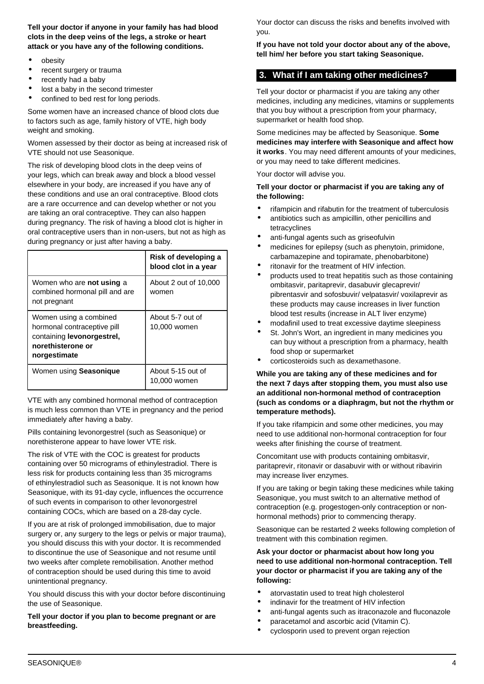**Tell your doctor if anyone in your family has had blood clots in the deep veins of the legs, a stroke or heart attack or you have any of the following conditions.**

- obesity
- recent surgery or trauma
- recently had a baby
- lost a baby in the second trimester
- confined to bed rest for long periods.

Some women have an increased chance of blood clots due to factors such as age, family history of VTE, high body weight and smoking.

Women assessed by their doctor as being at increased risk of VTE should not use Seasonique.

The risk of developing blood clots in the deep veins of your legs, which can break away and block a blood vessel elsewhere in your body, are increased if you have any of these conditions and use an oral contraceptive. Blood clots are a rare occurrence and can develop whether or not you are taking an oral contraceptive. They can also happen during pregnancy. The risk of having a blood clot is higher in oral contraceptive users than in non-users, but not as high as during pregnancy or just after having a baby.

|                                                                                                                          | Risk of developing a<br>blood clot in a year |
|--------------------------------------------------------------------------------------------------------------------------|----------------------------------------------|
| Women who are <b>not using</b> a<br>combined hormonal pill and are<br>not pregnant                                       | About 2 out of 10,000<br>women               |
| Women using a combined<br>hormonal contraceptive pill<br>containing levonorgestrel,<br>norethisterone or<br>norgestimate | About 5-7 out of<br>10,000 women             |
| Women using Seasonique                                                                                                   | About 5-15 out of<br>10,000 women            |

VTE with any combined hormonal method of contraception is much less common than VTE in pregnancy and the period immediately after having a baby.

Pills containing levonorgestrel (such as Seasonique) or norethisterone appear to have lower VTE risk.

The risk of VTE with the COC is greatest for products containing over 50 micrograms of ethinylestradiol. There is less risk for products containing less than 35 micrograms of ethinylestradiol such as Seasonique. It is not known how Seasonique, with its 91-day cycle, influences the occurrence of such events in comparison to other levonorgestrel containing COCs, which are based on a 28-day cycle.

If you are at risk of prolonged immobilisation, due to major surgery or, any surgery to the legs or pelvis or major trauma). you should discuss this with your doctor. It is recommended to discontinue the use of Seasonique and not resume until two weeks after complete remobilisation. Another method of contraception should be used during this time to avoid unintentional pregnancy.

You should discuss this with your doctor before discontinuing the use of Seasonique.

**Tell your doctor if you plan to become pregnant or are breastfeeding.**

Your doctor can discuss the risks and benefits involved with you.

**If you have not told your doctor about any of the above, tell him/ her before you start taking Seasonique.**

# <span id="page-3-0"></span>**3. What if I am taking other medicines?**

Tell your doctor or pharmacist if you are taking any other medicines, including any medicines, vitamins or supplements that you buy without a prescription from your pharmacy, supermarket or health food shop.

Some medicines may be affected by Seasonique. **Some medicines may interfere with Seasonique and affect how it works**. You may need different amounts of your medicines, or you may need to take different medicines.

Your doctor will advise you.

**Tell your doctor or pharmacist if you are taking any of the following:**

- rifampicin and rifabutin for the treatment of tuberculosis
- antibiotics such as ampicillin, other penicillins and tetracyclines
- anti-fungal agents such as griseofulvin
- medicines for epilepsy (such as phenytoin, primidone, carbamazepine and topiramate, phenobarbitone)
- ritonavir for the treatment of HIV infection.
- products used to treat hepatitis such as those containing ombitasvir, paritaprevir, dasabuvir glecaprevir/ pibrentasvir and sofosbuvir/ velpatasvir/ voxilaprevir as these products may cause increases in liver function blood test results (increase in ALT liver enzyme)
- modafinil used to treat excessive daytime sleepiness
- St. John's Wort, an ingredient in many medicines you can buy without a prescription from a pharmacy, health food shop or supermarket
- corticosteroids such as dexamethasone.

#### **While you are taking any of these medicines and for the next 7 days after stopping them, you must also use an additional non-hormonal method of contraception (such as condoms or a diaphragm, but not the rhythm or temperature methods).**

If you take rifampicin and some other medicines, you may need to use additional non-hormonal contraception for four weeks after finishing the course of treatment.

Concomitant use with products containing ombitasvir, paritaprevir, ritonavir or dasabuvir with or without ribavirin may increase liver enzymes.

If you are taking or begin taking these medicines while taking Seasonique, you must switch to an alternative method of contraception (e.g. progestogen-only contraception or nonhormonal methods) prior to commencing therapy.

Seasonique can be restarted 2 weeks following completion of treatment with this combination regimen.

### **Ask your doctor or pharmacist about how long you need to use additional non-hormonal contraception. Tell your doctor or pharmacist if you are taking any of the following:**

- atorvastatin used to treat high cholesterol
- indinavir for the treatment of HIV infection
- anti-fungal agents such as itraconazole and fluconazole
- paracetamol and ascorbic acid (Vitamin C).
- cyclosporin used to prevent organ rejection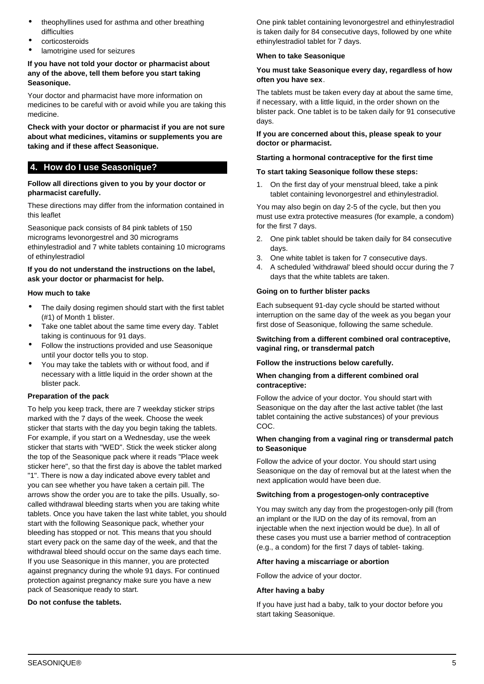- theophyllines used for asthma and other breathing difficulties
- corticosteroids
- lamotrigine used for seizures

### **If you have not told your doctor or pharmacist about any of the above, tell them before you start taking Seasonique.**

Your doctor and pharmacist have more information on medicines to be careful with or avoid while you are taking this medicine.

**Check with your doctor or pharmacist if you are not sure about what medicines, vitamins or supplements you are taking and if these affect Seasonique.**

# <span id="page-4-0"></span>**4. How do I use Seasonique?**

#### **Follow all directions given to you by your doctor or pharmacist carefully.**

These directions may differ from the information contained in this leaflet

Seasonique pack consists of 84 pink tablets of 150 micrograms levonorgestrel and 30 micrograms ethinylestradiol and 7 white tablets containing 10 micrograms of ethinylestradiol

#### **If you do not understand the instructions on the label, ask your doctor or pharmacist for help.**

#### **How much to take**

- The daily dosing regimen should start with the first tablet (#1) of Month 1 blister.
- Take one tablet about the same time every day. Tablet taking is continuous for 91 days.
- Follow the instructions provided and use Seasonique until your doctor tells you to stop.
- You may take the tablets with or without food, and if necessary with a little liquid in the order shown at the blister pack.

#### **Preparation of the pack**

To help you keep track, there are 7 weekday sticker strips marked with the 7 days of the week. Choose the week sticker that starts with the day you begin taking the tablets. For example, if you start on a Wednesday, use the week sticker that starts with "WED". Stick the week sticker along the top of the Seasonique pack where it reads "Place week sticker here", so that the first day is above the tablet marked "1". There is now a day indicated above every tablet and you can see whether you have taken a certain pill. The arrows show the order you are to take the pills. Usually, socalled withdrawal bleeding starts when you are taking white tablets. Once you have taken the last white tablet, you should start with the following Seasonique pack, whether your bleeding has stopped or not. This means that you should start every pack on the same day of the week, and that the withdrawal bleed should occur on the same days each time. If you use Seasonique in this manner, you are protected against pregnancy during the whole 91 days. For continued protection against pregnancy make sure you have a new pack of Seasonique ready to start.

#### **Do not confuse the tablets.**

One pink tablet containing levonorgestrel and ethinylestradiol is taken daily for 84 consecutive days, followed by one white ethinylestradiol tablet for 7 days.

#### **When to take Seasonique**

#### **You must take Seasonique every day, regardless of how often you have sex**.

The tablets must be taken every day at about the same time, if necessary, with a little liquid, in the order shown on the blister pack. One tablet is to be taken daily for 91 consecutive days.

#### **If you are concerned about this, please speak to your doctor or pharmacist.**

#### **Starting a hormonal contraceptive for the first time**

#### **To start taking Seasonique follow these steps:**

1. On the first day of your menstrual bleed, take a pink tablet containing levonorgestrel and ethinylestradiol.

You may also begin on day 2-5 of the cycle, but then you must use extra protective measures (for example, a condom) for the first 7 days.

- 2. One pink tablet should be taken daily for 84 consecutive days.
- 3. One white tablet is taken for 7 consecutive days.
- 4. A scheduled 'withdrawal' bleed should occur during the 7 days that the white tablets are taken.

#### **Going on to further blister packs**

Each subsequent 91-day cycle should be started without interruption on the same day of the week as you began your first dose of Seasonique, following the same schedule.

#### **Switching from a different combined oral contraceptive, vaginal ring, or transdermal patch**

#### **Follow the instructions below carefully.**

#### **When changing from a different combined oral contraceptive:**

Follow the advice of your doctor. You should start with Seasonique on the day after the last active tablet (the last tablet containing the active substances) of your previous COC.

#### **When changing from a vaginal ring or transdermal patch to Seasonique**

Follow the advice of your doctor. You should start using Seasonique on the day of removal but at the latest when the next application would have been due.

## **Switching from a progestogen-only contraceptive**

You may switch any day from the progestogen-only pill (from an implant or the IUD on the day of its removal, from an injectable when the next injection would be due). In all of these cases you must use a barrier method of contraception (e.g., a condom) for the first 7 days of tablet- taking.

#### **After having a miscarriage or abortion**

Follow the advice of your doctor.

#### **After having a baby**

If you have just had a baby, talk to your doctor before you start taking Seasonique.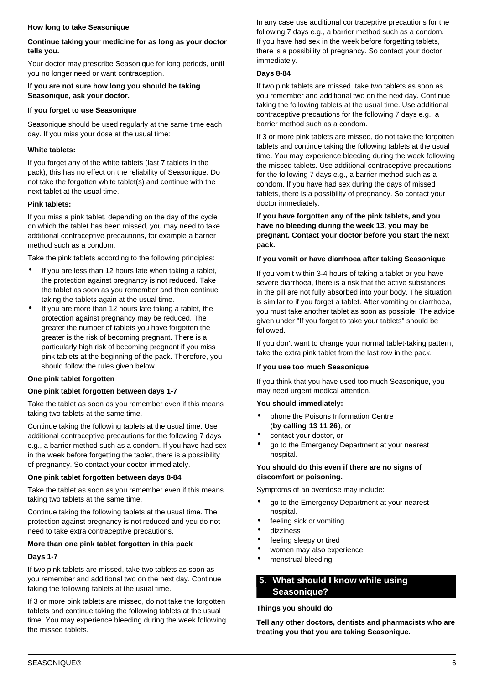#### **How long to take Seasonique**

## **Continue taking your medicine for as long as your doctor tells you.**

Your doctor may prescribe Seasonique for long periods, until you no longer need or want contraception.

#### **If you are not sure how long you should be taking Seasonique, ask your doctor.**

## **If you forget to use Seasonique**

Seasonique should be used regularly at the same time each day. If you miss your dose at the usual time:

# **White tablets:**

If you forget any of the white tablets (last 7 tablets in the pack), this has no effect on the reliability of Seasonique. Do not take the forgotten white tablet(s) and continue with the next tablet at the usual time.

## **Pink tablets:**

If you miss a pink tablet, depending on the day of the cycle on which the tablet has been missed, you may need to take additional contraceptive precautions, for example a barrier method such as a condom.

Take the pink tablets according to the following principles:

- If you are less than 12 hours late when taking a tablet, the protection against pregnancy is not reduced. Take the tablet as soon as you remember and then continue taking the tablets again at the usual time.
- If you are more than 12 hours late taking a tablet, the protection against pregnancy may be reduced. The greater the number of tablets you have forgotten the greater is the risk of becoming pregnant. There is a particularly high risk of becoming pregnant if you miss pink tablets at the beginning of the pack. Therefore, you should follow the rules given below.

# **One pink tablet forgotten**

## **One pink tablet forgotten between days 1-7**

Take the tablet as soon as you remember even if this means taking two tablets at the same time.

Continue taking the following tablets at the usual time. Use additional contraceptive precautions for the following 7 days e.g., a barrier method such as a condom. If you have had sex in the week before forgetting the tablet, there is a possibility of pregnancy. So contact your doctor immediately.

## **One pink tablet forgotten between days 8-84**

Take the tablet as soon as you remember even if this means taking two tablets at the same time.

Continue taking the following tablets at the usual time. The protection against pregnancy is not reduced and you do not need to take extra contraceptive precautions.

# **More than one pink tablet forgotten in this pack**

## **Days 1-7**

If two pink tablets are missed, take two tablets as soon as you remember and additional two on the next day. Continue taking the following tablets at the usual time.

If 3 or more pink tablets are missed, do not take the forgotten tablets and continue taking the following tablets at the usual time. You may experience bleeding during the week following the missed tablets.

In any case use additional contraceptive precautions for the following 7 days e.g., a barrier method such as a condom. If you have had sex in the week before forgetting tablets, there is a possibility of pregnancy. So contact your doctor immediately.

## **Days 8-84**

If two pink tablets are missed, take two tablets as soon as you remember and additional two on the next day. Continue taking the following tablets at the usual time. Use additional contraceptive precautions for the following 7 days e.g., a barrier method such as a condom.

If 3 or more pink tablets are missed, do not take the forgotten tablets and continue taking the following tablets at the usual time. You may experience bleeding during the week following the missed tablets. Use additional contraceptive precautions for the following 7 days e.g., a barrier method such as a condom. If you have had sex during the days of missed tablets, there is a possibility of pregnancy. So contact your doctor immediately.

## **If you have forgotten any of the pink tablets, and you have no bleeding during the week 13, you may be pregnant. Contact your doctor before you start the next pack.**

## **If you vomit or have diarrhoea after taking Seasonique**

If you vomit within 3-4 hours of taking a tablet or you have severe diarrhoea, there is a risk that the active substances in the pill are not fully absorbed into your body. The situation is similar to if you forget a tablet. After vomiting or diarrhoea, you must take another tablet as soon as possible. The advice given under "If you forget to take your tablets" should be followed.

If you don't want to change your normal tablet-taking pattern, take the extra pink tablet from the last row in the pack.

# **If you use too much Seasonique**

If you think that you have used too much Seasonique, you may need urgent medical attention.

## **You should immediately:**

- phone the Poisons Information Centre (**by calling 13 11 26**), or
- contact your doctor, or
- go to the Emergency Department at your nearest hospital.

## **You should do this even if there are no signs of discomfort or poisoning.**

Symptoms of an overdose may include:

- go to the Emergency Department at your nearest hospital.
- feeling sick or vomiting
- dizziness
- feeling sleepy or tired
- women may also experience
- menstrual bleeding.

# <span id="page-5-0"></span>**5. What should I know while using Seasonique?**

## **Things you should do**

**Tell any other doctors, dentists and pharmacists who are treating you that you are taking Seasonique.**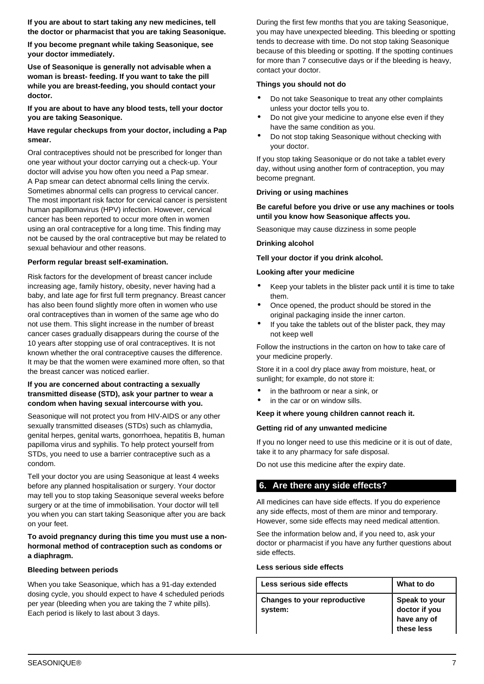**If you are about to start taking any new medicines, tell the doctor or pharmacist that you are taking Seasonique.**

**If you become pregnant while taking Seasonique, see your doctor immediately.**

**Use of Seasonique is generally not advisable when a woman is breast- feeding. If you want to take the pill while you are breast-feeding, you should contact your doctor.**

**If you are about to have any blood tests, tell your doctor you are taking Seasonique.**

## **Have regular checkups from your doctor, including a Pap smear.**

Oral contraceptives should not be prescribed for longer than one year without your doctor carrying out a check-up. Your doctor will advise you how often you need a Pap smear. A Pap smear can detect abnormal cells lining the cervix. Sometimes abnormal cells can progress to cervical cancer. The most important risk factor for cervical cancer is persistent human papillomavirus (HPV) infection. However, cervical cancer has been reported to occur more often in women using an oral contraceptive for a long time. This finding may not be caused by the oral contraceptive but may be related to sexual behaviour and other reasons.

#### **Perform regular breast self-examination.**

Risk factors for the development of breast cancer include increasing age, family history, obesity, never having had a baby, and late age for first full term pregnancy. Breast cancer has also been found slightly more often in women who use oral contraceptives than in women of the same age who do not use them. This slight increase in the number of breast cancer cases gradually disappears during the course of the 10 years after stopping use of oral contraceptives. It is not known whether the oral contraceptive causes the difference. It may be that the women were examined more often, so that the breast cancer was noticed earlier.

#### **If you are concerned about contracting a sexually transmitted disease (STD), ask your partner to wear a condom when having sexual intercourse with you.**

Seasonique will not protect you from HIV-AIDS or any other sexually transmitted diseases (STDs) such as chlamydia, genital herpes, genital warts, gonorrhoea, hepatitis B, human papilloma virus and syphilis. To help protect yourself from STDs, you need to use a barrier contraceptive such as a condom.

Tell your doctor you are using Seasonique at least 4 weeks before any planned hospitalisation or surgery. Your doctor may tell you to stop taking Seasonique several weeks before surgery or at the time of immobilisation. Your doctor will tell you when you can start taking Seasonique after you are back on your feet.

**To avoid pregnancy during this time you must use a nonhormonal method of contraception such as condoms or a diaphragm.**

#### **Bleeding between periods**

When you take Seasonique, which has a 91-day extended dosing cycle, you should expect to have 4 scheduled periods per year (bleeding when you are taking the 7 white pills). Each period is likely to last about 3 days.

During the first few months that you are taking Seasonique, you may have unexpected bleeding. This bleeding or spotting tends to decrease with time. Do not stop taking Seasonique because of this bleeding or spotting. If the spotting continues for more than 7 consecutive days or if the bleeding is heavy, contact your doctor.

#### **Things you should not do**

- Do not take Seasonique to treat any other complaints unless your doctor tells you to.
- Do not give your medicine to anyone else even if they have the same condition as you.
- Do not stop taking Seasonique without checking with your doctor.

If you stop taking Seasonique or do not take a tablet every day, without using another form of contraception, you may become pregnant.

#### **Driving or using machines**

#### **Be careful before you drive or use any machines or tools until you know how Seasonique affects you.**

Seasonique may cause dizziness in some people

#### **Drinking alcohol**

#### **Tell your doctor if you drink alcohol.**

#### **Looking after your medicine**

- Keep your tablets in the blister pack until it is time to take them.
- Once opened, the product should be stored in the original packaging inside the inner carton.
- If you take the tablets out of the blister pack, they may not keep well

Follow the instructions in the carton on how to take care of your medicine properly.

Store it in a cool dry place away from moisture, heat, or sunlight; for example, do not store it:

- in the bathroom or near a sink, or
- in the car or on window sills.

#### **Keep it where young children cannot reach it.**

#### **Getting rid of any unwanted medicine**

If you no longer need to use this medicine or it is out of date, take it to any pharmacy for safe disposal.

Do not use this medicine after the expiry date.

# <span id="page-6-0"></span>**6. Are there any side effects?**

All medicines can have side effects. If you do experience any side effects, most of them are minor and temporary. However, some side effects may need medical attention.

See the information below and, if you need to, ask your doctor or pharmacist if you have any further questions about side effects.

#### **Less serious side effects**

| Less serious side effects               | What to do                                    |
|-----------------------------------------|-----------------------------------------------|
| Changes to your reproductive<br>system: | Speak to your<br>doctor if you<br>have any of |
|                                         |                                               |
|                                         | these less                                    |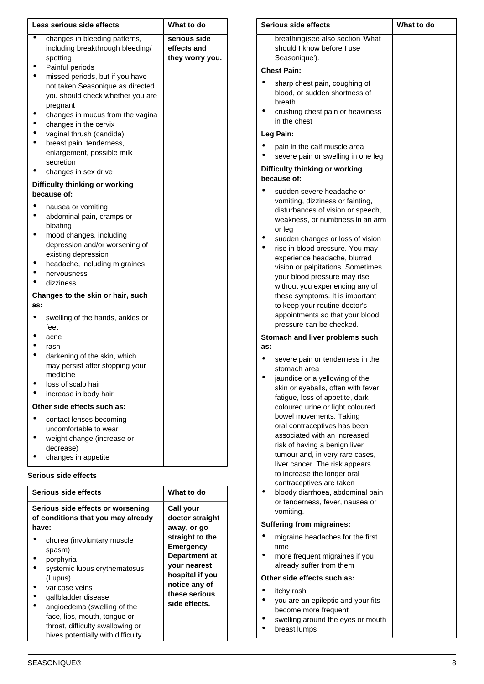| Less serious side effects                                                        |                                                                                                         | What to do                                     |
|----------------------------------------------------------------------------------|---------------------------------------------------------------------------------------------------------|------------------------------------------------|
|                                                                                  | changes in bleeding patterns,<br>including breakthrough bleeding/<br>spotting                           | serious side<br>effects and<br>they worry you. |
|                                                                                  | Painful periods                                                                                         |                                                |
|                                                                                  | missed periods, but if you have<br>not taken Seasonique as directed<br>you should check whether you are |                                                |
|                                                                                  | pregnant                                                                                                |                                                |
|                                                                                  | changes in mucus from the vagina<br>changes in the cervix                                               |                                                |
|                                                                                  | vaginal thrush (candida)                                                                                |                                                |
|                                                                                  | breast pain, tenderness,                                                                                |                                                |
|                                                                                  | enlargement, possible milk                                                                              |                                                |
|                                                                                  | secretion                                                                                               |                                                |
|                                                                                  | changes in sex drive                                                                                    |                                                |
|                                                                                  | Difficulty thinking or working<br>because of:                                                           |                                                |
|                                                                                  | nausea or vomiting                                                                                      |                                                |
|                                                                                  | abdominal pain, cramps or                                                                               |                                                |
|                                                                                  | bloating                                                                                                |                                                |
|                                                                                  | mood changes, including<br>depression and/or worsening of                                               |                                                |
|                                                                                  | existing depression                                                                                     |                                                |
|                                                                                  | headache, including migraines                                                                           |                                                |
|                                                                                  | nervousness                                                                                             |                                                |
|                                                                                  | dizziness                                                                                               |                                                |
| as:                                                                              | Changes to the skin or hair, such                                                                       |                                                |
|                                                                                  | swelling of the hands, ankles or<br>feet                                                                |                                                |
|                                                                                  | acne                                                                                                    |                                                |
|                                                                                  | rash                                                                                                    |                                                |
|                                                                                  | darkening of the skin, which<br>may persist after stopping your<br>medicine                             |                                                |
|                                                                                  | loss of scalp hair                                                                                      |                                                |
|                                                                                  | increase in body hair                                                                                   |                                                |
|                                                                                  | Other side effects such as:                                                                             |                                                |
|                                                                                  | contact lenses becoming                                                                                 |                                                |
|                                                                                  | uncomfortable to wear                                                                                   |                                                |
|                                                                                  | weight change (increase or                                                                              |                                                |
|                                                                                  | decrease)                                                                                               |                                                |
|                                                                                  | changes in appetite                                                                                     |                                                |
|                                                                                  | Serious side effects                                                                                    |                                                |
|                                                                                  | Serious side effects                                                                                    | What to do                                     |
| Serious side effects or worsening<br>of conditions that you may already<br>have: |                                                                                                         | Call your<br>doctor straight<br>away, or go    |
|                                                                                  | chorea (involuntary muscle                                                                              | straight to the                                |
|                                                                                  | spasm)                                                                                                  | <b>Emergency</b>                               |
|                                                                                  | porphyria                                                                                               | <b>Department at</b><br>your nearest           |
|                                                                                  | systemic lupus erythematosus                                                                            | hospital if you                                |
|                                                                                  | (Lupus)<br>varicose veins                                                                               | notice any of                                  |
|                                                                                  | gallbladder disease                                                                                     | these serious                                  |
|                                                                                  | angioedema (swelling of the                                                                             | side effects.                                  |
|                                                                                  | face, lips, mouth, tongue or                                                                            |                                                |
|                                                                                  | throat, difficulty swallowing or                                                                        |                                                |

| Serious side effects |                                                                                                                                                                                                                                                                                                                                                                                                                                                                                                              | What to do |
|----------------------|--------------------------------------------------------------------------------------------------------------------------------------------------------------------------------------------------------------------------------------------------------------------------------------------------------------------------------------------------------------------------------------------------------------------------------------------------------------------------------------------------------------|------------|
|                      | breathing (see also section 'What<br>should I know before I use<br>Seasonique').                                                                                                                                                                                                                                                                                                                                                                                                                             |            |
|                      | <b>Chest Pain:</b>                                                                                                                                                                                                                                                                                                                                                                                                                                                                                           |            |
|                      | sharp chest pain, coughing of<br>blood, or sudden shortness of<br>breath<br>crushing chest pain or heaviness<br>in the chest                                                                                                                                                                                                                                                                                                                                                                                 |            |
|                      | Leg Pain:                                                                                                                                                                                                                                                                                                                                                                                                                                                                                                    |            |
|                      | pain in the calf muscle area<br>severe pain or swelling in one leg                                                                                                                                                                                                                                                                                                                                                                                                                                           |            |
|                      | Difficulty thinking or working                                                                                                                                                                                                                                                                                                                                                                                                                                                                               |            |
|                      | because of:                                                                                                                                                                                                                                                                                                                                                                                                                                                                                                  |            |
|                      | sudden severe headache or<br>vomiting, dizziness or fainting,<br>disturbances of vision or speech,<br>weakness, or numbness in an arm<br>or leg<br>sudden changes or loss of vision<br>rise in blood pressure. You may<br>experience headache, blurred<br>vision or palpitations. Sometimes<br>your blood pressure may rise<br>without you experiencing any of<br>these symptoms. It is important<br>to keep your routine doctor's<br>appointments so that your blood<br>pressure can be checked.            |            |
| as:                  | Stomach and liver problems such                                                                                                                                                                                                                                                                                                                                                                                                                                                                              |            |
|                      | severe pain or tenderness in the                                                                                                                                                                                                                                                                                                                                                                                                                                                                             |            |
|                      | stomach area<br>jaundice or a yellowing of the<br>skin or eyeballs, often with fever,<br>fatigue, loss of appetite, dark<br>coloured urine or light coloured<br>bowel movements. Taking<br>oral contraceptives has been<br>associated with an increased<br>risk of having a benign liver<br>tumour and, in very rare cases,<br>liver cancer. The risk appears<br>to increase the longer oral<br>contraceptives are taken<br>bloody diarrhoea, abdominal pain<br>or tenderness, fever, nausea or<br>vomiting. |            |
|                      | <b>Suffering from migraines:</b>                                                                                                                                                                                                                                                                                                                                                                                                                                                                             |            |
|                      | migraine headaches for the first                                                                                                                                                                                                                                                                                                                                                                                                                                                                             |            |
|                      | time<br>more frequent migraines if you<br>already suffer from them                                                                                                                                                                                                                                                                                                                                                                                                                                           |            |
|                      | Other side effects such as:                                                                                                                                                                                                                                                                                                                                                                                                                                                                                  |            |
|                      | itchy rash<br>you are an epileptic and your fits<br>become more frequent                                                                                                                                                                                                                                                                                                                                                                                                                                     |            |

- swelling around the eyes or mouth
- breast lumps

hives potentially with difficulty